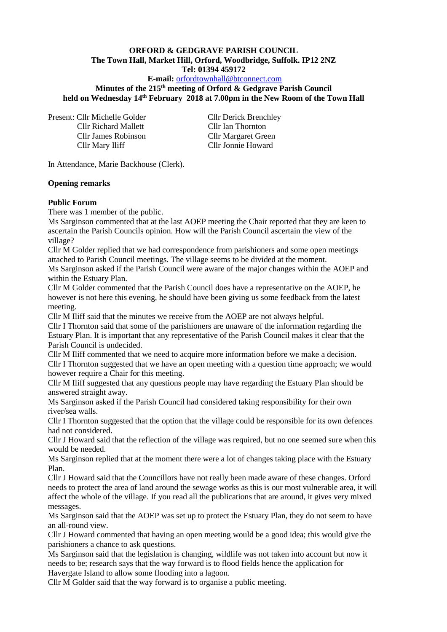### **ORFORD & GEDGRAVE PARISH COUNCIL The Town Hall, Market Hill, Orford, Woodbridge, Suffolk. IP12 2NZ Tel: 01394 459172**

### **E-mail:** [orfordtownhall@btconnect.com](mailto:orfordtownhall@btconnect.com)

**Minutes of the 215 th meeting of Orford & Gedgrave Parish Council held on Wednesday 14th February 2018 at 7.00pm in the New Room of the Town Hall**

Present: Cllr Michelle Golder Cllr Derick Brenchley Cllr Richard Mallett Cllr Ian Thornton Cllr James Robinson Cllr Margaret Green Cllr Mary Iliff Cllr Jonnie Howard

In Attendance, Marie Backhouse (Clerk).

#### **Opening remarks**

#### **Public Forum**

There was 1 member of the public.

Ms Sarginson commented that at the last AOEP meeting the Chair reported that they are keen to ascertain the Parish Councils opinion. How will the Parish Council ascertain the view of the village?

Cllr M Golder replied that we had correspondence from parishioners and some open meetings attached to Parish Council meetings. The village seems to be divided at the moment.

Ms Sarginson asked if the Parish Council were aware of the major changes within the AOEP and within the Estuary Plan.

Cllr M Golder commented that the Parish Council does have a representative on the AOEP, he however is not here this evening, he should have been giving us some feedback from the latest meeting.

Cllr M Iliff said that the minutes we receive from the AOEP are not always helpful.

Cllr I Thornton said that some of the parishioners are unaware of the information regarding the Estuary Plan. It is important that any representative of the Parish Council makes it clear that the Parish Council is undecided.

Cllr M Iliff commented that we need to acquire more information before we make a decision. Cllr I Thornton suggested that we have an open meeting with a question time approach; we would however require a Chair for this meeting.

Cllr M Iliff suggested that any questions people may have regarding the Estuary Plan should be answered straight away.

Ms Sarginson asked if the Parish Council had considered taking responsibility for their own river/sea walls.

Cllr I Thornton suggested that the option that the village could be responsible for its own defences had not considered.

Cllr J Howard said that the reflection of the village was required, but no one seemed sure when this would be needed.

Ms Sarginson replied that at the moment there were a lot of changes taking place with the Estuary Plan.

Cllr J Howard said that the Councillors have not really been made aware of these changes. Orford needs to protect the area of land around the sewage works as this is our most vulnerable area, it will affect the whole of the village. If you read all the publications that are around, it gives very mixed messages.

Ms Sarginson said that the AOEP was set up to protect the Estuary Plan, they do not seem to have an all-round view.

Cllr J Howard commented that having an open meeting would be a good idea; this would give the parishioners a chance to ask questions.

Ms Sarginson said that the legislation is changing, wildlife was not taken into account but now it needs to be; research says that the way forward is to flood fields hence the application for Havergate Island to allow some flooding into a lagoon.

Cllr M Golder said that the way forward is to organise a public meeting.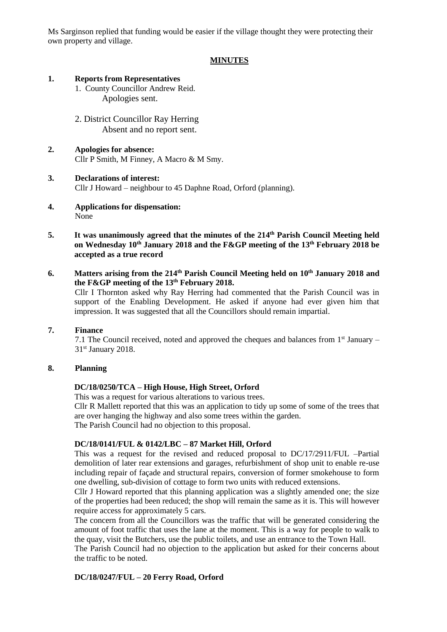Ms Sarginson replied that funding would be easier if the village thought they were protecting their own property and village.

# **MINUTES**

#### **1. Reports from Representatives**

- 1. County Councillor Andrew Reid. Apologies sent.
- 2. District Councillor Ray Herring Absent and no report sent.
- **2. Apologies for absence:** Cllr P Smith, M Finney, A Macro & M Smy.

#### **3. Declarations of interest:**

Cllr J Howard – neighbour to 45 Daphne Road, Orford (planning).

- **4. Applications for dispensation:** None
- **5. It was unanimously agreed that the minutes of the 214th Parish Council Meeting held on Wednesday 10th January 2018 and the F&GP meeting of the 13th February 2018 be accepted as a true record**
- **6. Matters arising from the 214<sup>th</sup> Parish Council Meeting held on 10<sup>th</sup> January 2018 and the F&GP meeting of the 13th February 2018.**

Cllr I Thornton asked why Ray Herring had commented that the Parish Council was in support of the Enabling Development. He asked if anyone had ever given him that impression. It was suggested that all the Councillors should remain impartial.

### **7. Finance**

7.1 The Council received, noted and approved the cheques and balances from  $1<sup>st</sup>$  January – 31<sup>st</sup> January 2018.

## **8. Planning**

### **DC/18/0250/TCA – High House, High Street, Orford**

This was a request for various alterations to various trees.

Cllr R Mallett reported that this was an application to tidy up some of some of the trees that are over hanging the highway and also some trees within the garden.

The Parish Council had no objection to this proposal.

### **DC/18/0141/FUL & 0142/LBC – 87 Market Hill, Orford**

This was a request for the revised and reduced proposal to DC/17/2911/FUL –Partial demolition of later rear extensions and garages, refurbishment of shop unit to enable re-use including repair of façade and structural repairs, conversion of former smokehouse to form one dwelling, sub-division of cottage to form two units with reduced extensions.

Cllr J Howard reported that this planning application was a slightly amended one; the size of the properties had been reduced; the shop will remain the same as it is. This will however require access for approximately 5 cars.

The concern from all the Councillors was the traffic that will be generated considering the amount of foot traffic that uses the lane at the moment. This is a way for people to walk to the quay, visit the Butchers, use the public toilets, and use an entrance to the Town Hall.

The Parish Council had no objection to the application but asked for their concerns about the traffic to be noted.

### **DC/18/0247/FUL – 20 Ferry Road, Orford**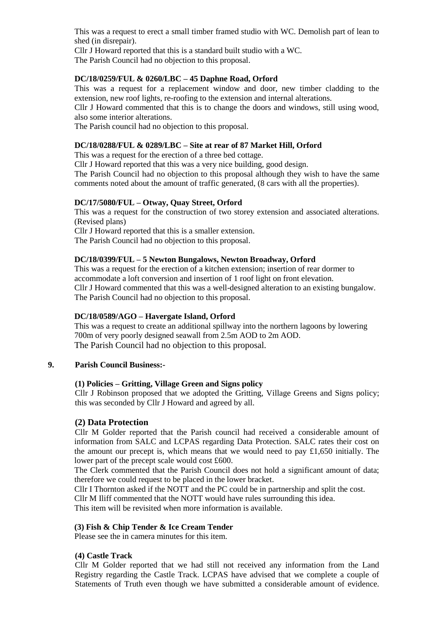This was a request to erect a small timber framed studio with WC. Demolish part of lean to shed (in disrepair).

Cllr J Howard reported that this is a standard built studio with a WC.

The Parish Council had no objection to this proposal.

# **DC/18/0259/FUL & 0260/LBC – 45 Daphne Road, Orford**

This was a request for a replacement window and door, new timber cladding to the extension, new roof lights, re-roofing to the extension and internal alterations.

Cllr J Howard commented that this is to change the doors and windows, still using wood, also some interior alterations.

The Parish council had no objection to this proposal.

# **DC/18/0288/FUL & 0289/LBC – Site at rear of 87 Market Hill, Orford**

This was a request for the erection of a three bed cottage.

Cllr J Howard reported that this was a very nice building, good design.

The Parish Council had no objection to this proposal although they wish to have the same comments noted about the amount of traffic generated, (8 cars with all the properties).

## **DC/17/5080/FUL – Otway, Quay Street, Orford**

This was a request for the construction of two storey extension and associated alterations. (Revised plans)

Cllr J Howard reported that this is a smaller extension. The Parish Council had no objection to this proposal.

## **DC/18/0399/FUL – 5 Newton Bungalows, Newton Broadway, Orford**

This was a request for the erection of a kitchen extension; insertion of rear dormer to accommodate a loft conversion and insertion of 1 roof light on front elevation. Cllr J Howard commented that this was a well-designed alteration to an existing bungalow. The Parish Council had no objection to this proposal.

### **DC/18/0589/AGO – Havergate Island, Orford**

This was a request to create an additional spillway into the northern lagoons by lowering 700m of very poorly designed seawall from 2.5m AOD to 2m AOD. The Parish Council had no objection to this proposal.

### **9. Parish Council Business:-**

### **(1) Policies – Gritting, Village Green and Signs policy**

Cllr J Robinson proposed that we adopted the Gritting, Village Greens and Signs policy; this was seconded by Cllr J Howard and agreed by all.

# **(2) Data Protection**

Cllr M Golder reported that the Parish council had received a considerable amount of information from SALC and LCPAS regarding Data Protection. SALC rates their cost on the amount our precept is, which means that we would need to pay  $\pounds1,650$  initially. The lower part of the precept scale would cost £600.

The Clerk commented that the Parish Council does not hold a significant amount of data; therefore we could request to be placed in the lower bracket.

Cllr I Thornton asked if the NOTT and the PC could be in partnership and split the cost.

Cllr M Iliff commented that the NOTT would have rules surrounding this idea.

This item will be revisited when more information is available.

# **(3) Fish & Chip Tender & Ice Cream Tender**

Please see the in camera minutes for this item.

### **(4) Castle Track**

Cllr M Golder reported that we had still not received any information from the Land Registry regarding the Castle Track. LCPAS have advised that we complete a couple of Statements of Truth even though we have submitted a considerable amount of evidence.